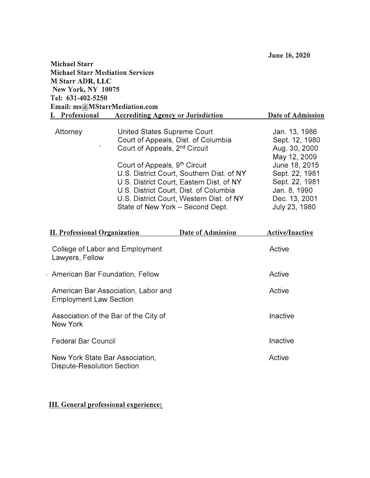| <b>Michael Starr</b><br><b>Michael Starr Mediation Services</b><br>M Starr ADR, LLC<br>New York, NY 10075<br>Tel: 631-402-5250 |  |                                                                                                                                                                                                                                                                                                                                                                     |                                                                                                                                                                         |
|--------------------------------------------------------------------------------------------------------------------------------|--|---------------------------------------------------------------------------------------------------------------------------------------------------------------------------------------------------------------------------------------------------------------------------------------------------------------------------------------------------------------------|-------------------------------------------------------------------------------------------------------------------------------------------------------------------------|
| Email: ms@MStarrMediation.com<br>I. Professional<br><b>Accrediting Agency or Jurisdiction</b>                                  |  |                                                                                                                                                                                                                                                                                                                                                                     | Date of Admission                                                                                                                                                       |
| Attorney                                                                                                                       |  | United States Supreme Court<br>Court of Appeals, Dist. of Columbia<br>Court of Appeals, 2 <sup>nd</sup> Circuit<br>Court of Appeals, 9th Circuit<br>U.S. District Court, Southern Dist. of NY<br>U.S. District Court, Eastern Dist. of NY<br>U.S. District Court, Dist. of Columbia<br>U.S. District Court, Western Dist. of NY<br>State of New York - Second Dept. | Jan. 13, 1986<br>Sept. 12, 1980<br>Aug. 30, 2000<br>May 12, 2009<br>June 18, 2015<br>Sept. 22, 1981<br>Sept. 22, 1981<br>Jan. 8, 1990<br>Dec. 13, 2001<br>July 23, 1980 |
| <b>II. Professional Organization</b><br>Date of Admission                                                                      |  |                                                                                                                                                                                                                                                                                                                                                                     | Active/Inactive                                                                                                                                                         |
| College of Labor and Employment<br>Lawyers, Fellow                                                                             |  |                                                                                                                                                                                                                                                                                                                                                                     | Active                                                                                                                                                                  |
| American Bar Foundation, Fellow                                                                                                |  |                                                                                                                                                                                                                                                                                                                                                                     | Active                                                                                                                                                                  |
| American Bar Association, Labor and<br><b>Employment Law Section</b>                                                           |  |                                                                                                                                                                                                                                                                                                                                                                     | Active                                                                                                                                                                  |
| Association of the Bar of the City of<br><b>New York</b>                                                                       |  |                                                                                                                                                                                                                                                                                                                                                                     | Inactive                                                                                                                                                                |
| <b>Federal Bar Council</b>                                                                                                     |  |                                                                                                                                                                                                                                                                                                                                                                     | Inactive                                                                                                                                                                |
| New York State Bar Association,<br>Dispute-Resolution Section                                                                  |  |                                                                                                                                                                                                                                                                                                                                                                     | Active                                                                                                                                                                  |

# **III. General professional experience:**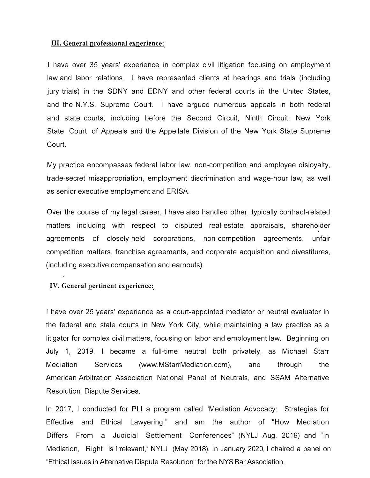#### **III. General professional experience:**

I have over 35 years' experience in complex civil litigation focusing on employment law and labor relations. I have represented clients at hearings and trials (including jury trials) in the SONY and EDNY and other federal courts in the United States, and the N.Y.S. Supreme Court. I have argued numerous appeals in both federal and state courts, including before the Second Circuit, Ninth Circuit, New York State Court of Appeals and the Appellate Division of the New York State Supreme Court.

My practice encompasses federal labor law, non-competition and employee disloyalty, trade-secret misappropriation, employment discrimination and wage-hour law, as well as senior executive employment and ERISA.

Over the course of my legal career, I have also handled other, typically contract-related matters including with respect to disputed real-estate appraisals, shareholder agreements of closely-held corporations, non-competition agreements, unfair competition matters, franchise agreements, and corporate acquisition and divestitures, (including executive compensation and earnouts).

#### **IV. General pertinent experience:**

I have over 25 years' experience as a court-appointed mediator or neutral evaluator in the federal and state courts in New York City, while maintaining a law practice as a litigator for complex civil matters, focusing on labor and employment law. Beginning on July 1, 2019, I became a full-time neutral both privately, as Michael Starr Mediation Services (www.MStarrMediation.com), and through the American Arbitration Association National Panel of Neutrals, and SSAM Alternative Resolution Dispute Services.

In 2017, I conducted for PLI a program called "Mediation Advocacy: Strategies for Effective and Ethical Lawyering," and am the author of "How Mediation Differs From a Judicial Settlement Conferences" (NYLJ Aug. 2019) and "In Mediation, Right is Irrelevant," NYLJ (May 2018). In January 2020, I chaired a panel on "Ethical Issues in Alternative Dispute Resolution" for the NYS Bar Association.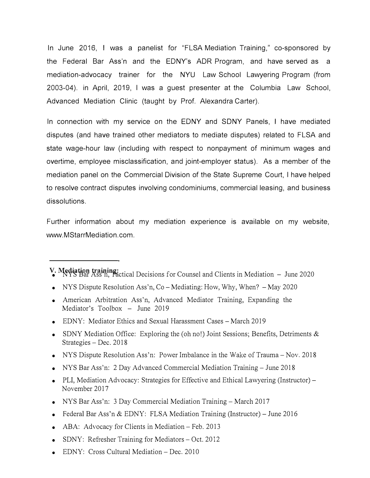In June 2016, I was a panelist for "FLSA Mediation Training," co-sponsored by the Federal Bar Ass'n and the EDNY's ADR Program, and have served as a mediation-advocacy trainer for the NYU Law School Lawyering Program (from 2003-04). in April, 2019, I was a guest presenter at the Columbia Law School, Advanced Mediation Clinic (taught by Prof. Alexandra Carter).

In connection with my service on the EDNY and SONY Panels, I have mediated disputes (and have trained other mediators to mediate disputes) related to FLSA and state wage-hour law (including with respect to nonpayment of minimum wages and overtime, employee misclassification, and joint-employer status). As a member of the mediation panel on the Commercial Division of the State Supreme Court, I have helped to resolve contract disputes involving condominiums, commercial leasing, and business dissolutions.

Further information about my mediation experience is available on my website, www.MStarrMediation.com.

- **V. Mediation training:** NYS Bar Ass'n, Tactical Decisions for Counsel and Clients in Mediation June 2020
- NYS Dispute Resolution Ass'n,  $Co-Mediating$ : How, Why, When?  $-May 2020$
- American Arbitration Ass'n, Advanced Mediator Training, Expanding the Mediator's Toolbox - June 2019
- EDNY: Mediator Ethics and Sexual Harassment Cases March 2019
- SDNY Mediation Office: Exploring the (oh no!) Joint Sessions; Benefits, Detriments & Strategies - Dec. 2018
- NYS Dispute Resolution Ass'n: Power Imbalance in the Wake of Trauma Nov. 2018
- NYS Bar Ass'n: 2 Day Advanced Commercial Mediation Training June 2018
- PLI, Mediation Advocacy: Strategies for Effective and Ethical Lawyering (Instructor) November 2017
- NYS Bar Ass'n: 3 Day Commercial Mediation Training March 2017
- Federal Bar Ass'n & EDNY: FLSA Mediation Training (Instructor) June 2016
- ABA: Advocacy for Clients in Mediation  $-$  Feb. 2013
- SDNY: Refresher Training for Mediators  $-$  Oct. 2012
- EDNY: Cross Cultural Mediation Dec. 2010